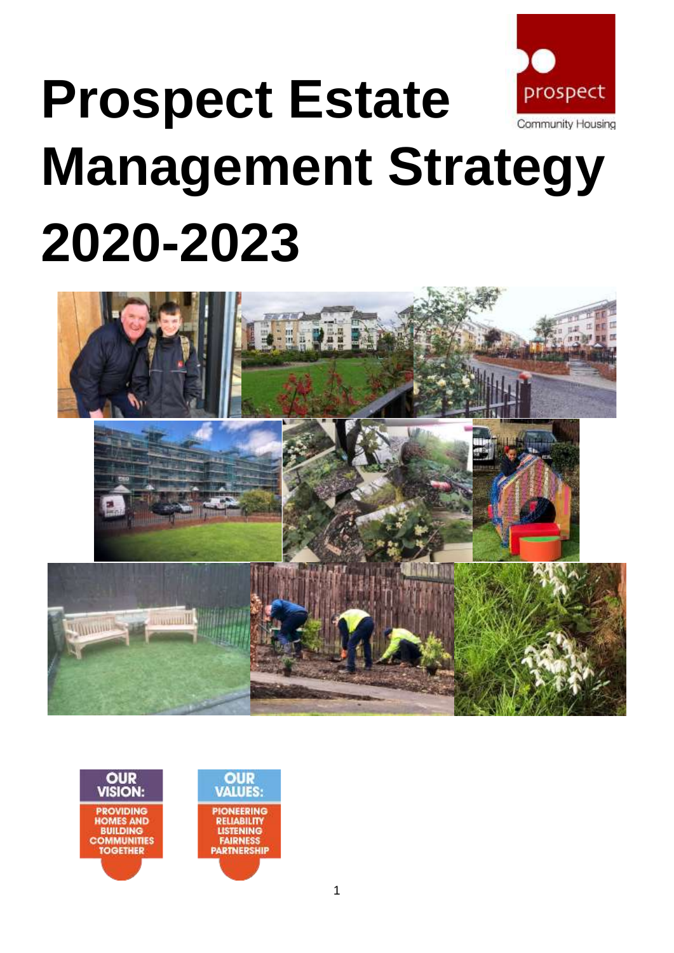

# **Prospect Estate Management Strategy 2020-2023**





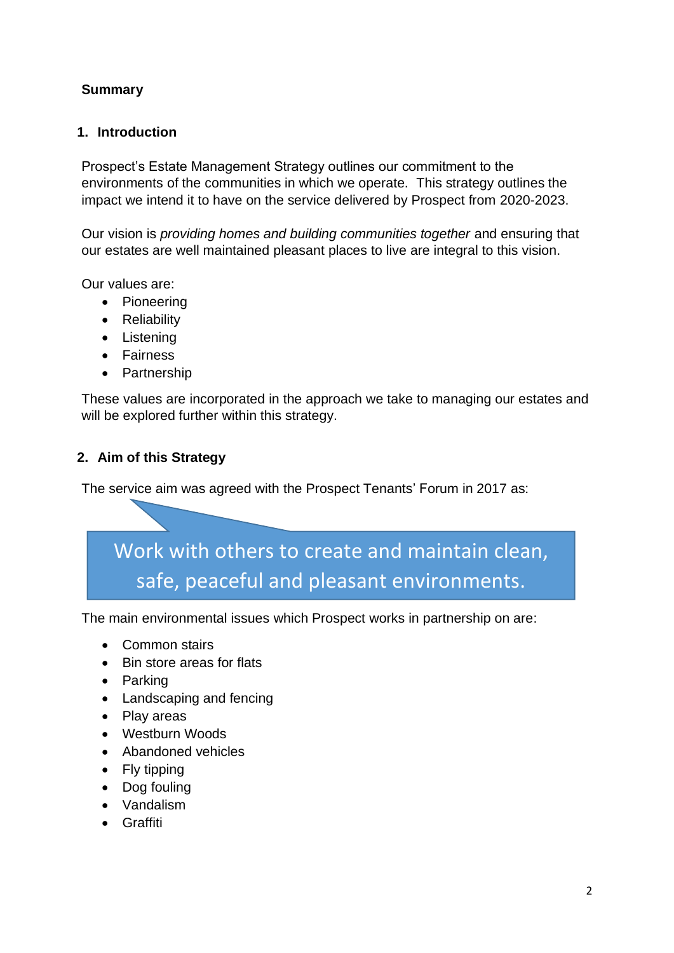## **Summary**

## **1. Introduction**

Prospect's Estate Management Strategy outlines our commitment to the environments of the communities in which we operate. This strategy outlines the impact we intend it to have on the service delivered by Prospect from 2020-2023.

Our vision is *providing homes and building communities together* and ensuring that our estates are well maintained pleasant places to live are integral to this vision.

Our values are:

- Pioneering
- Reliability
- Listening
- Fairness
- Partnership

These values are incorporated in the approach we take to managing our estates and will be explored further within this strategy.

## **2. Aim of this Strategy**

The service aim was agreed with the Prospect Tenants' Forum in 2017 as:

# Work with others to create and maintain clean, safe, peaceful and pleasant environments.

The main environmental issues which Prospect works in partnership on are:

- Common stairs
- Bin store areas for flats
- Parking
- Landscaping and fencing
- Play areas
- Westburn Woods
- Abandoned vehicles
- Fly tipping
- Dog fouling
- Vandalism
- Graffiti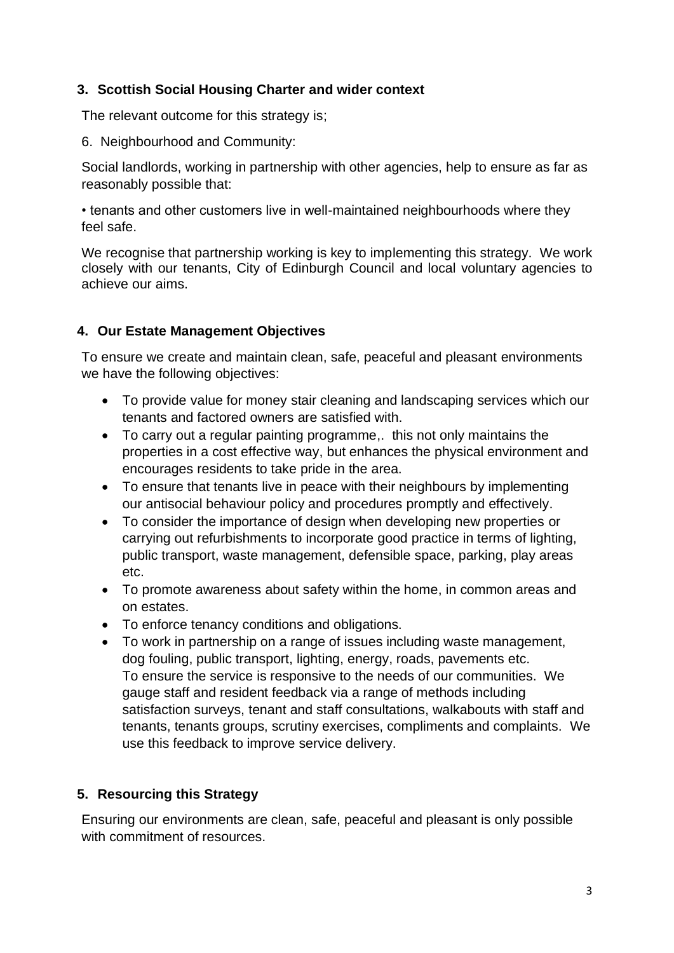## **3. Scottish Social Housing Charter and wider context**

The relevant outcome for this strategy is;

6. Neighbourhood and Community:

Social landlords, working in partnership with other agencies, help to ensure as far as reasonably possible that:

• tenants and other customers live in well-maintained neighbourhoods where they feel safe.

We recognise that partnership working is key to implementing this strategy. We work closely with our tenants, City of Edinburgh Council and local voluntary agencies to achieve our aims.

#### **4. Our Estate Management Objectives**

To ensure we create and maintain clean, safe, peaceful and pleasant environments we have the following objectives:

- To provide value for money stair cleaning and landscaping services which our tenants and factored owners are satisfied with.
- To carry out a regular painting programme,. this not only maintains the properties in a cost effective way, but enhances the physical environment and encourages residents to take pride in the area.
- To ensure that tenants live in peace with their neighbours by implementing our antisocial behaviour policy and procedures promptly and effectively.
- To consider the importance of design when developing new properties or carrying out refurbishments to incorporate good practice in terms of lighting, public transport, waste management, defensible space, parking, play areas etc.
- To promote awareness about safety within the home, in common areas and on estates.
- To enforce tenancy conditions and obligations.
- To work in partnership on a range of issues including waste management, dog fouling, public transport, lighting, energy, roads, pavements etc. To ensure the service is responsive to the needs of our communities. We gauge staff and resident feedback via a range of methods including satisfaction surveys, tenant and staff consultations, walkabouts with staff and tenants, tenants groups, scrutiny exercises, compliments and complaints. We use this feedback to improve service delivery.

## **5. Resourcing this Strategy**

Ensuring our environments are clean, safe, peaceful and pleasant is only possible with commitment of resources